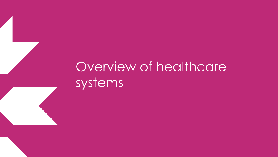## Overview of healthcare systems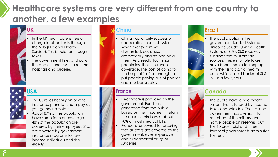### **Healthcare systems are very different from one country to another, a few examples**

#### **UK**

- In the UK healthcare is free of charge to all patients through the NHS (National Health Service). This is paid for through taxes.
- The government hires and pays the doctors and trusts to run the hospitals and surgeries.

#### **USA**



- The US relies heavily on private insurance plans to fund a pay-asyou-go health system.
- About 87% of the population have some form of coverage. 48% of the population are covered by their employers. 31% are covered by government insurance programs for lowincome individuals and the elderly.

#### **China**

China had a fairly successful cooperative medical system. When that system was dismantled, costs rose dramatically and no one paid them. As a result, 100 million people lost their insurance coverage. The cost of going to the hospital is often enough to put people paying out of pocket and into bankruptcy.

#### **France**

- Healthcare is provided by the government. Funds are generated from the public based on their income. In return, the country reimburses about 70% of most medical bills.
- France is renowned for ensuring that all costs are covered by the government; even expensive and experimental drugs or surgeries.

#### **Brazil**



#### **Canada**



**15**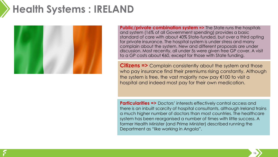### **Health Systems : IRELAND**



**Public/private combination system =>** The State runs the hospitals and system (16% of all Government spending) provides a basic standard of care with about 40% State-funded, but over a third opting for private insurance. The hospital system is under stress and many complain about the system. New and different proposals are under discussion. Most recently, all under 5s were given free GP cover. A visit to a GP costs about €60, except for those with State funding.

**Citizens =>** Complain consistently about the system and those who pay insurance find their premiums rising constantly. Although the system is free, the vast majority now pay €100 to visit a hospital and indeed most pay for their own medication.

**Particularities =>** Doctors' interests effectively control access and there is an inbuilt scarcity of hospital consultants, although Ireland trains a much higher number of doctors than most countries. The healthcare system has been reorganised a number of times with little success. A former Health Minister (and Prime Minister) described running the Department as "like working in Angola".

**16**

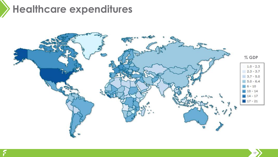## **Healthcare expenditures**

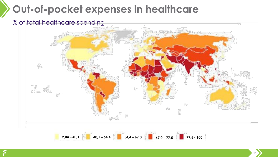### **Out-of-pocket expenses in healthcare**

#### % of total healthcare spending



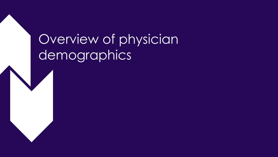# Overview of physician demographics